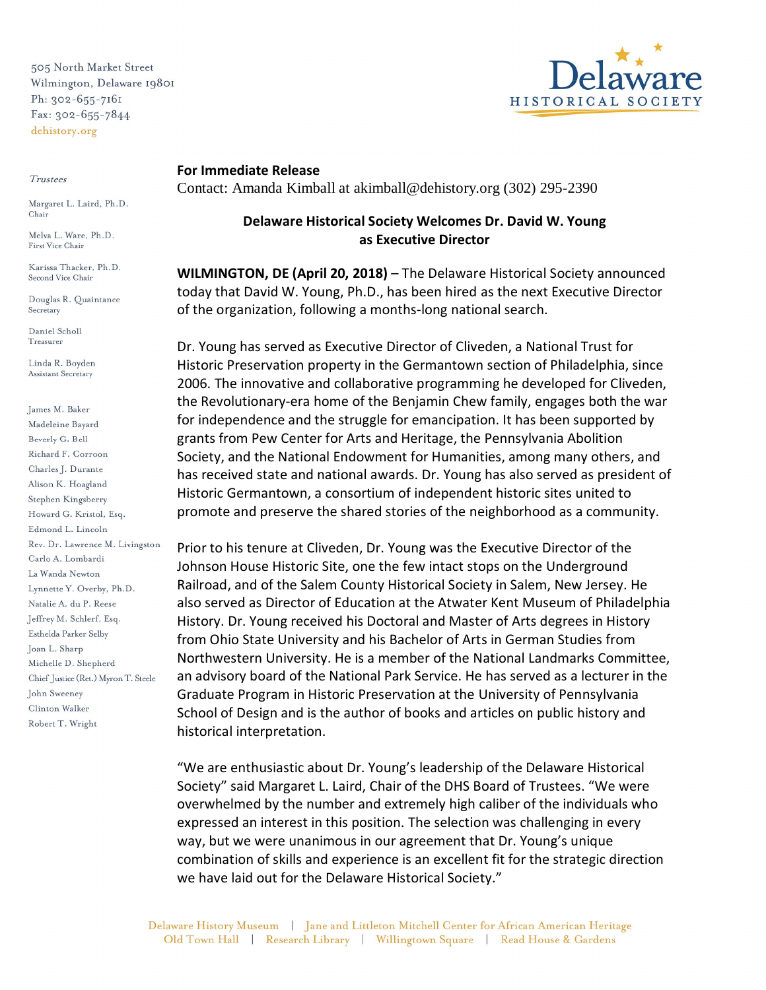505 North Market Street Wilmington, Delaware 19801 Ph: 302-655-7161 Fax: 302-655-7844 dehistory.org

## Trustees

Margaret L. Laird, Ph.D. Chair

Melva L. Ware, Ph.D. First Vice Chair

Karissa Thacker, Ph.D. Second Vice Chair

Douglas R. Quaintance Secretary

Daniel Scholl Treasurer

Linda R. Boyden Assistant Secretary

James M. Baker Madeleine Bayard Beverly G. Bell Richard F. Corroon Charles J. Durante Alison K. Hoagland Stephen Kingsberry Howard G. Kristol, Esq. Edmond L. Lincoln Rev. Dr. Lawrence M. Livingston Carlo A. Lombardi La Wanda Newton Lynnette Y. Overby, Ph.D. Natalie A. du P. Reese Jeffrey M. Schlerf, Esq. Esthelda Parker Selby Joan L. Sharp Michelle D. Shepherd Chief Justice (Ret.) Myron T. Steele John Sweeney Clinton Walker Robert T. Wright

HISTORICAL SOCI

## **For Immediate Release**

Contact: Amanda Kimball at akimball@dehistory.org (302) 295-2390

## **Delaware Historical Society Welcomes Dr. David W. Young as Executive Director**

**WILMINGTON, DE (April 20, 2018)** – The Delaware Historical Society announced today that David W. Young, Ph.D., has been hired as the next Executive Director of the organization, following a months-long national search.

Dr. Young has served as Executive Director of Cliveden, a National Trust for Historic Preservation property in the Germantown section of Philadelphia, since 2006. The innovative and collaborative programming he developed for Cliveden, the Revolutionary-era home of the Benjamin Chew family, engages both the war for independence and the struggle for emancipation. It has been supported by grants from Pew Center for Arts and Heritage, the Pennsylvania Abolition Society, and the National Endowment for Humanities, among many others, and has received state and national awards. Dr. Young has also served as president of Historic Germantown, a consortium of independent historic sites united to promote and preserve the shared stories of the neighborhood as a community.

Prior to his tenure at Cliveden, Dr. Young was the Executive Director of the Johnson House Historic Site, one the few intact stops on the Underground Railroad, and of the Salem County Historical Society in Salem, New Jersey. He also served as Director of Education at the Atwater Kent Museum of Philadelphia History. Dr. Young received his Doctoral and Master of Arts degrees in History from Ohio State University and his Bachelor of Arts in German Studies from Northwestern University. He is a member of the National Landmarks Committee, an advisory board of the National Park Service. He has served as a lecturer in the Graduate Program in Historic Preservation at the University of Pennsylvania School of Design and is the author of books and articles on public history and historical interpretation.

"We are enthusiastic about Dr. Young's leadership of the Delaware Historical Society" said Margaret L. Laird, Chair of the DHS Board of Trustees. "We were overwhelmed by the number and extremely high caliber of the individuals who expressed an interest in this position. The selection was challenging in every way, but we were unanimous in our agreement that Dr. Young's unique combination of skills and experience is an excellent fit for the strategic direction we have laid out for the Delaware Historical Society."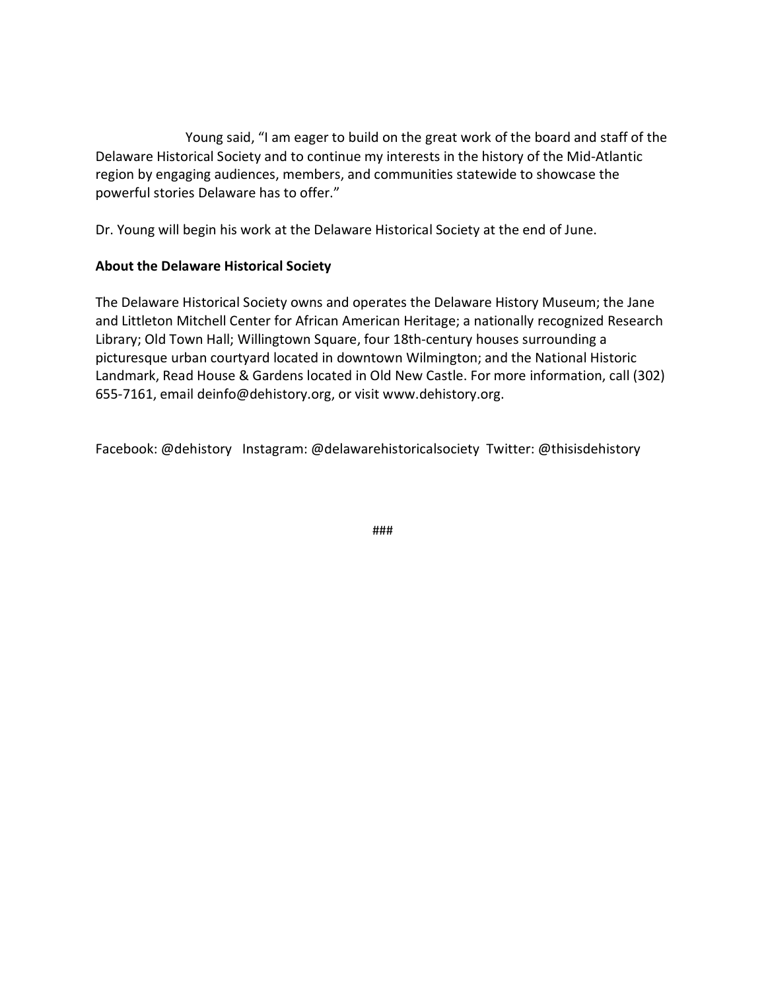Young said, "I am eager to build on the great work of the board and staff of the Delaware Historical Society and to continue my interests in the history of the Mid-Atlantic region by engaging audiences, members, and communities statewide to showcase the powerful stories Delaware has to offer."

Dr. Young will begin his work at the Delaware Historical Society at the end of June.

## **About the Delaware Historical Society**

The Delaware Historical Society owns and operates the Delaware History Museum; the Jane and Littleton Mitchell Center for African American Heritage; a nationally recognized Research Library; Old Town Hall; Willingtown Square, four 18th-century houses surrounding a picturesque urban courtyard located in downtown Wilmington; and the National Historic Landmark, Read House & Gardens located in Old New Castle. For more information, call (302) 655-7161, email deinfo@dehistory.org, or visit www.dehistory.org.

Facebook: @dehistory Instagram: @delawarehistoricalsociety Twitter: @thisisdehistory

###